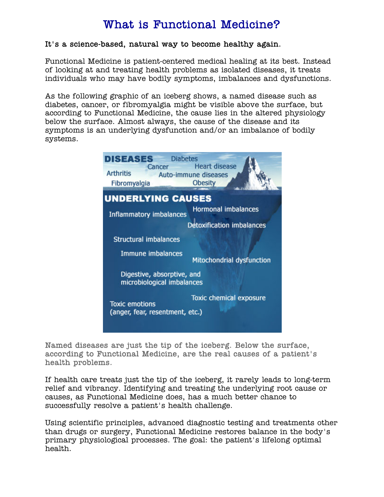# What is [Functional Medicine?](http://www.helpmychronicpain.com/what-makes-me-unique/)

#### It's a science-based, natural way to become healthy again.

[Functional Medicine](http://www.helpmychronicpain.com/what-makes-me-unique/) is patient-centered medical healing at its best. Instead of looking at and treating health problems as isolated diseases, it treats individuals who may have bodily symptoms, imbalances and dysfunctions.

As the following graphic of an iceberg shows, a named disease such as diabetes, cancer, or [fibromyalgia](http://www.helpmychronicpain.com/fibromyalgia-breakthrough-treatment/) might be visible above the surface, but according to Functional Medicine, the cause lies in the altered physiology below the surface. Almost always, the cause of the disease and its symptoms is an underlying dysfunction and/or an imbalance of bodily systems.



Named diseases are just the tip of the iceberg. Below the surface, according to Functional Medicine, are the real causes of a patient's health problems.

If health care treats just the tip of the iceberg, it rarely leads to long-term relief and vibrancy. Identifying and treating the underlying root cause or causes, as [Functional Medicine](http://www.helpmychronicpain.com/what-makes-me-unique/) does, has a much better chance to successfully resolve a patient's health challenge.

Using scientific principles, advanced diagnostic testing and treatments other than drugs or surgery, [Functional Medicine](http://www.helpmychronicpain.com/what-makes-me-unique/) restores balance in the body's primary physiological processes. The goal: the patient's lifelong optimal health.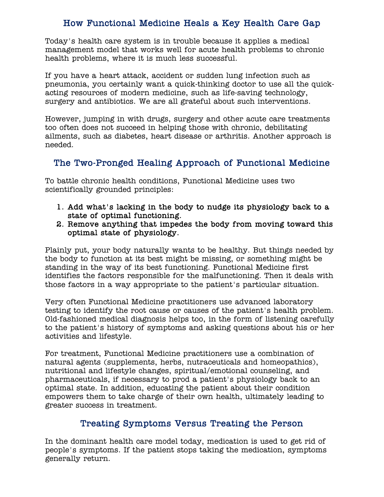# How [Functional Medicine](http://www.helpmychronicpain.com/what-makes-me-unique/) Heals a Key Health Care Gap

Today's health care system is in trouble because it applies a medical management model that works well for acute health problems to chronic health problems, where it is much less successful.

If you have a heart attack, accident or sudden lung infection such as pneumonia, you certainly want a quick-thinking doctor to use all the quickacting resources of modern medicine, such as life-saving technology, surgery and antibiotics. We are all grateful about such interventions.

However, jumping in with drugs, surgery and other acute care treatments too often does not succeed in helping those with chronic, debilitating ailments, such as diabetes, heart disease or arthritis. Another approach is needed.

### The Two-Pronged Healing Approach of [Functional Medicine](http://www.helpmychronicpain.com/what-makes-me-unique/)

To battle chronic health conditions, [Functional Medicine](http://www.helpmychronicpain.com/what-makes-me-unique/) uses two scientifically grounded principles:

- 1. Add what's lacking in the body to nudge its physiology back to a state of optimal functioning.
- 2. Remove anything that impedes the body from moving toward this optimal state of physiology.

Plainly put, your body naturally wants to be healthy. But things needed by the body to function at its best might be missing, or something might be standing in the way of its best functioning. [Functional Medicine](http://www.helpmychronicpain.com/what-makes-me-unique/) first identifies the factors responsible for the malfunctioning. Then it deals with those factors in a way appropriate to the patient's particular situation.

Very often [Functional Medicine](http://www.helpmychronicpain.com/what-makes-me-unique/) practitioners use advanced laboratory testing to identify the root cause or causes of the patient's health problem. Old-fashioned medical diagnosis helps too, in the form of listening carefully to the patient's history of symptoms and asking questions about his or her activities and lifestyle.

For treatment, [Functional Medicine](http://www.helpmychronicpain.com/what-makes-me-unique/) practitioners use a combination of natural agents (supplements, herbs, nutraceuticals and homeopathics), nutritional and lifestyle changes, spiritual/emotional counseling, and pharmaceuticals, if necessary to prod a patient's physiology back to an optimal state. In addition, educating the patient about their condition empowers them to take charge of their own health, ultimately leading to greater success in treatment.

#### Treating Symptoms Versus Treating the Person

In the dominant health care model today, medication is used to get rid of people's symptoms. If the patient stops taking the medication, symptoms generally return.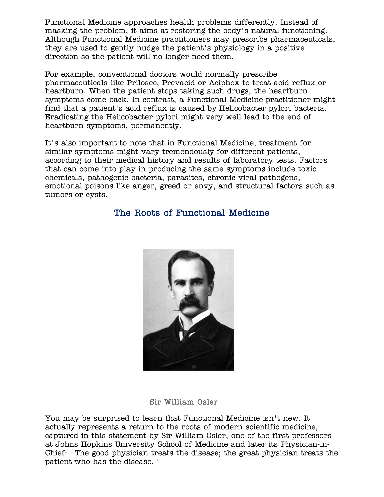[Functional Medicine](http://www.helpmychronicpain.com/what-makes-me-unique/) approaches health problems differently. Instead of masking the problem, it aims at restoring the body's natural functioning. Although [Functional Medicine](http://www.helpmychronicpain.com/what-makes-me-unique/) practitioners may prescribe pharmaceuticals, they are used to gently nudge the patient's physiology in a positive direction so the patient will no longer need them.

For example, conventional doctors would normally prescribe pharmaceuticals like Prilosec, Prevacid or Aciphex to treat acid reflux or heartburn. When the patient stops taking such drugs, the heartburn symptoms come back. In contrast, a [Functional Medicine](http://www.helpmychronicpain.com/what-makes-me-unique/) practitioner might find that a patient's acid reflux is caused by Helicobacter pylori bacteria. Eradicating the Helicobacter pylori might very well lead to the end of heartburn symptoms, permanently.

It's also important to note that in [Functional Medicine,](http://www.helpmychronicpain.com/what-makes-me-unique/) treatment for similar symptoms might vary tremendously for different patients, according to their medical history and results of laboratory tests. Factors that can come into play in producing the same symptoms include toxic chemicals, pathogenic bacteria, parasites, chronic viral pathogens, emotional poisons like anger, greed or envy, and structural factors such as tumors or cysts.

### The Roots of [Functional Medicine](http://www.helpmychronicpain.com/what-makes-me-unique/)



Sir William Osler

You may be surprised to learn that [Functional Medicine](http://www.helpmychronicpain.com/what-makes-me-unique/) isn't new. It actually represents a return to the roots of modern scientific medicine, captured in this statement by Sir William Osler, one of the first professors at Johns Hopkins University School of Medicine and later its Physician-in-Chief: "The good physician treats the disease; the great physician treats the patient who has the disease."